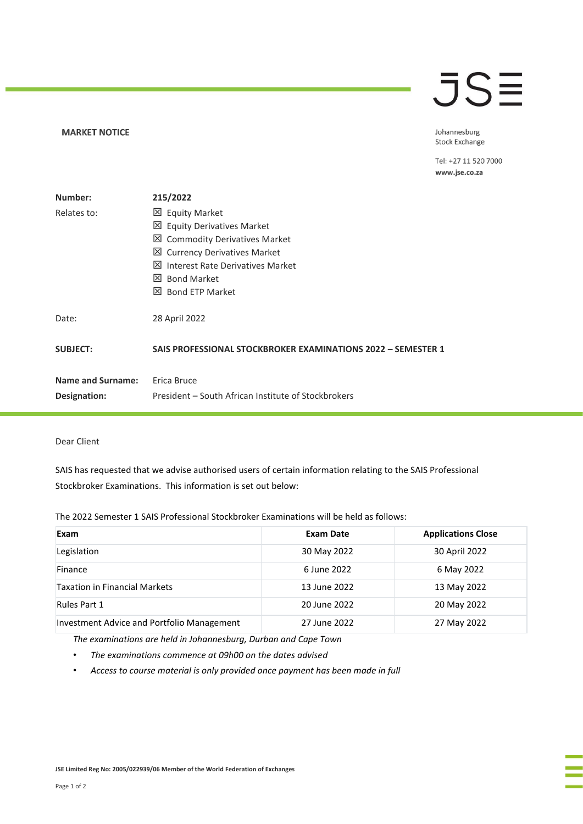### **MARKET NOTICE**

## **JSE**

Johannesburg Stock Exchange

Tel: +27 11 520 7000 www.jse.co.za

| Number:                  | 215/2022                                                     |  |
|--------------------------|--------------------------------------------------------------|--|
| Relates to:              | <b>区 Equity Market</b>                                       |  |
|                          | 凶 Equity Derivatives Market                                  |  |
|                          | 凶 Commodity Derivatives Market                               |  |
|                          | ■ Currency Derivatives Market                                |  |
|                          | <b>X</b> Interest Rate Derivatives Market                    |  |
|                          | X Bond Market                                                |  |
|                          | X Bond ETP Market                                            |  |
| Date:                    | 28 April 2022                                                |  |
| <b>SUBJECT:</b>          | SAIS PROFESSIONAL STOCKBROKER EXAMINATIONS 2022 - SEMESTER 1 |  |
|                          |                                                              |  |
| <b>Name and Surname:</b> | Erica Bruce                                                  |  |
|                          |                                                              |  |
| Designation:             | President – South African Institute of Stockbrokers          |  |

## Dear Client

SAIS has requested that we advise authorised users of certain information relating to the SAIS Professional Stockbroker Examinations. This information is set out below:

The 2022 Semester 1 SAIS Professional Stockbroker Examinations will be held as follows:

| Exam                                       | <b>Exam Date</b> | <b>Applications Close</b> |
|--------------------------------------------|------------------|---------------------------|
| Legislation                                | 30 May 2022      | 30 April 2022             |
| Finance                                    | 6 June 2022      | 6 May 2022                |
| <b>Taxation in Financial Markets</b>       | 13 June 2022     | 13 May 2022               |
| <b>Rules Part 1</b>                        | 20 June 2022     | 20 May 2022               |
| Investment Advice and Portfolio Management | 27 June 2022     | 27 May 2022               |

*The examinations are held in Johannesburg, Durban and Cape Town*

- *The examinations commence at 09h00 on the dates advised*
- *Access to course material is only provided once payment has been made in full*